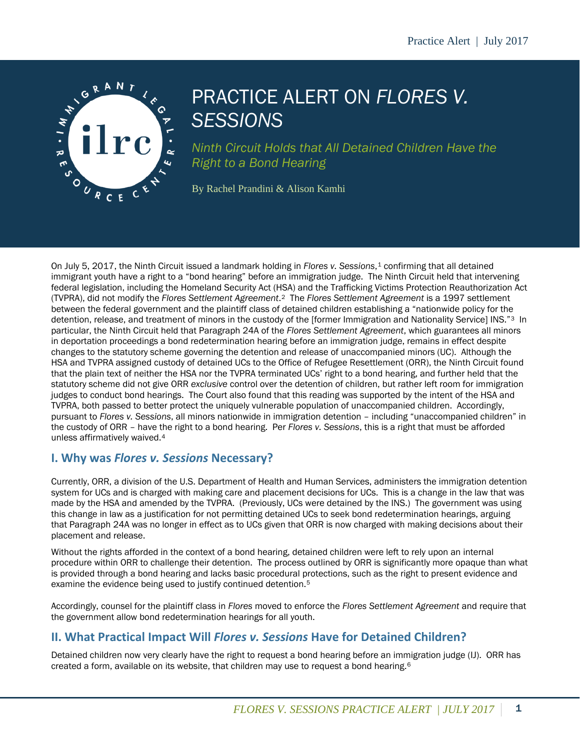

# PRACTICE ALERT ON *FLORES V. SESSIONS*

*Ninth Circuit Holds that All Detained Children Have the Right to a Bond Hearing*

By Rachel Prandini & Alison Kamhi

On July 5, 20[1](#page-3-0)7, the Ninth Circuit issued a landmark holding in *Flores v. Sessions*,<sup>1</sup> confirming that all detained immigrant youth have a right to a "bond hearing" before an immigration judge. The Ninth Circuit held that intervening federal legislation, including the Homeland Security Act (HSA) and the Trafficking Victims Protection Reauthorization Act (TVPRA), did not modify the *Flores Settlement Agreement*.[2](#page-3-1) The *Flores Settlement Agreement* is a 1997 settlement between the federal government and the plaintiff class of detained children establishing a "nationwide policy for the detention, release, and treatment of minors in the custody of the [former Immigration and Nationality Service] INS."[3](#page-3-2) In particular, the Ninth Circuit held that Paragraph 24A of the *Flores Settlement Agreement*, which guarantees all minors in deportation proceedings a bond redetermination hearing before an immigration judge, remains in effect despite changes to the statutory scheme governing the detention and release of unaccompanied minors (UC). Although the HSA and TVPRA assigned custody of detained UCs to the Office of Refugee Resettlement (ORR), the Ninth Circuit found that the plain text of neither the HSA nor the TVPRA terminated UCs' right to a bond hearing, and further held that the statutory scheme did not give ORR *exclusive* control over the detention of children, but rather left room for immigration judges to conduct bond hearings. The Court also found that this reading was supported by the intent of the HSA and TVPRA, both passed to better protect the uniquely vulnerable population of unaccompanied children. Accordingly, pursuant to *Flores v. Sessions*, all minors nationwide in immigration detention – including "unaccompanied children" in the custody of ORR – have the right to a bond hearing. Per *Flores v. Sessions*, this is a right that must be afforded unless affirmatively waived.[4](#page-3-3)

#### **I. Why was** *Flores v. Sessions* **Necessary?**

Currently, ORR, a division of the U.S. Department of Health and Human Services, administers the immigration detention system for UCs and is charged with making care and placement decisions for UCs. This is a change in the law that was made by the HSA and amended by the TVPRA. (Previously, UCs were detained by the INS.) The government was using this change in law as a justification for not permitting detained UCs to seek bond redetermination hearings, arguing that Paragraph 24A was no longer in effect as to UCs given that ORR is now charged with making decisions about their placement and release.

Without the rights afforded in the context of a bond hearing, detained children were left to rely upon an internal procedure within ORR to challenge their detention. The process outlined by ORR is significantly more opaque than what is provided through a bond hearing and lacks basic procedural protections, such as the right to present evidence and examine the evidence being used to justify continued detention.[5](#page-3-4) 

Accordingly, counsel for the plaintiff class in *Flores* moved to enforce the *Flores Settlement Agreement* and require that the government allow bond redetermination hearings for all youth.

## **II. What Practical Impact Will** *Flores v. Sessions* **Have for Detained Children?**

Detained children now very clearly have the right to request a bond hearing before an immigration judge (IJ). ORR has created a form, available on its website, that children may use to request a bond hearing.<sup>[6](#page-3-5)</sup>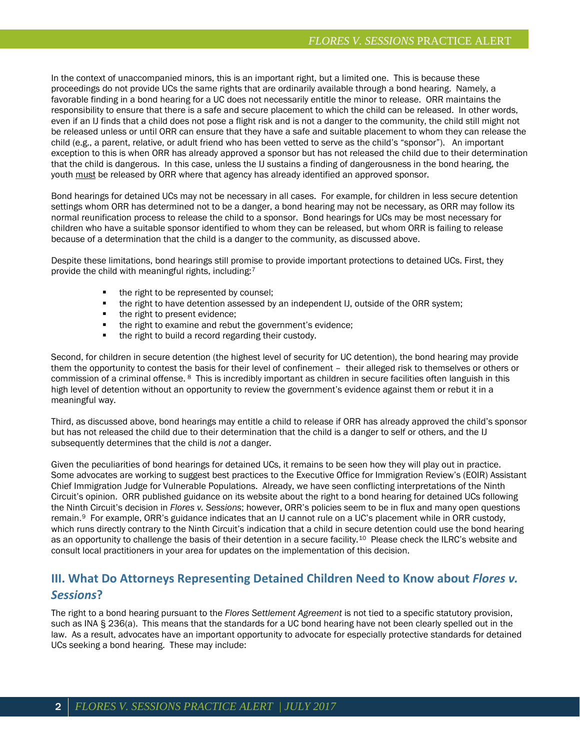In the context of unaccompanied minors, this is an important right, but a limited one. This is because these proceedings do not provide UCs the same rights that are ordinarily available through a bond hearing. Namely, a favorable finding in a bond hearing for a UC does not necessarily entitle the minor to release. ORR maintains the responsibility to ensure that there is a safe and secure placement to which the child can be released. In other words, even if an IJ finds that a child does not pose a flight risk and is not a danger to the community, the child still might not be released unless or until ORR can ensure that they have a safe and suitable placement to whom they can release the child (e.g., a parent, relative, or adult friend who has been vetted to serve as the child's "sponsor"). An important exception to this is when ORR has already approved a sponsor but has not released the child due to their determination that the child is dangerous. In this case, unless the IJ sustains a finding of dangerousness in the bond hearing, the youth must be released by ORR where that agency has already identified an approved sponsor.

Bond hearings for detained UCs may not be necessary in all cases. For example, for children in less secure detention settings whom ORR has determined not to be a danger, a bond hearing may not be necessary, as ORR may follow its normal reunification process to release the child to a sponsor. Bond hearings for UCs may be most necessary for children who have a suitable sponsor identified to whom they can be released, but whom ORR is failing to release because of a determination that the child is a danger to the community, as discussed above.

Despite these limitations, bond hearings still promise to provide important protections to detained UCs. First, they provide the child with meaningful rights, including:[7](#page-4-0)

- the right to be represented by counsel;
- the right to have detention assessed by an independent IJ, outside of the ORR system;<br>■ the right to present evidence:
- the right to present evidence;<br>■ the right to examine and rebut
- the right to examine and rebut the government's evidence;
- the right to build a record regarding their custody.

Second, for children in secure detention (the highest level of security for UC detention), the bond hearing may provide them the opportunity to contest the basis for their level of confinement – their alleged risk to themselves or others or commission of a criminal offense. [8](#page-4-1) This is incredibly important as children in secure facilities often languish in this high level of detention without an opportunity to review the government's evidence against them or rebut it in a meaningful way.

Third, as discussed above, bond hearings may entitle a child to release if ORR has already approved the child's sponsor but has not released the child due to their determination that the child is a danger to self or others, and the IJ subsequently determines that the child is *not* a danger.

Given the peculiarities of bond hearings for detained UCs, it remains to be seen how they will play out in practice. Some advocates are working to suggest best practices to the Executive Office for Immigration Review's (EOIR) Assistant Chief Immigration Judge for Vulnerable Populations. Already, we have seen conflicting interpretations of the Ninth Circuit's opinion. ORR published guidance on its website about the right to a bond hearing for detained UCs following the Ninth Circuit's decision in *Flores v. Sessions*; however, ORR's policies seem to be in flux and many open questions remain.[9](#page-4-2) For example, ORR's guidance indicates that an IJ cannot rule on a UC's placement while in ORR custody, which runs directly contrary to the Ninth Circuit's indication that a child in secure detention could use the bond hearing as an opportunity to challenge the basis of their detention in a secure facility.<sup>10</sup> Please check the ILRC's website and consult local practitioners in your area for updates on the implementation of this decision.

## **III. What Do Attorneys Representing Detained Children Need to Know about** *Flores v. Sessions***?**

The right to a bond hearing pursuant to the *Flores Settlement Agreement* is not tied to a specific statutory provision, such as INA § 236(a). This means that the standards for a UC bond hearing have not been clearly spelled out in the law. As a result, advocates have an important opportunity to advocate for especially protective standards for detained UCs seeking a bond hearing. These may include: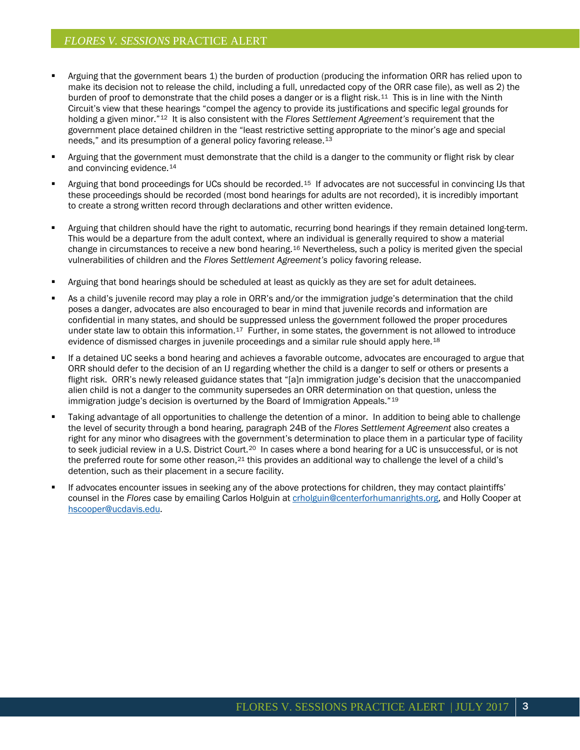#### *FLORES V. SESSIONS* PRACTICE ALERT

- Arguing that the government bears 1) the burden of production (producing the information ORR has relied upon to make its decision not to release the child, including a full, unredacted copy of the ORR case file), as well as 2) the burden of proof to demonstrate that the child poses a danger or is a flight risk.[11](#page-4-4) This is in line with the Ninth Circuit's view that these hearings "compel the agency to provide its justifications and specific legal grounds for holding a given minor."[12](#page-4-5) It is also consistent with the *Flores Settlement Agreement's* requirement that the government place detained children in the "least restrictive setting appropriate to the minor's age and special needs," and its presumption of a general policy favoring release.<sup>[13](#page-4-6)</sup>
- Arguing that the government must demonstrate that the child is a danger to the community or flight risk by clear and convincing evidence.[14](#page-4-7)
- Arguing that bond proceedings for UCs should be recorded.[15](#page-4-8) If advocates are not successful in convincing IJs that these proceedings should be recorded (most bond hearings for adults are not recorded), it is incredibly important to create a strong written record through declarations and other written evidence.
- Arguing that children should have the right to automatic, recurring bond hearings if they remain detained long-term. This would be a departure from the adult context, where an individual is generally required to show a material change in circumstances to receive a new bond hearing.[16](#page-4-9) Nevertheless, such a policy is merited given the special vulnerabilities of children and the *Flores Settlement Agreement's* policy favoring release.
- Arguing that bond hearings should be scheduled at least as quickly as they are set for adult detainees.
- As a child's juvenile record may play a role in ORR's and/or the immigration judge's determination that the child poses a danger, advocates are also encouraged to bear in mind that juvenile records and information are confidential in many states, and should be suppressed unless the government followed the proper procedures under state law to obtain this information.<sup>[17](#page-4-10)</sup> Further, in some states, the government is not allowed to introduce evidence of dismissed charges in juvenile proceedings and a similar rule should apply here.<sup>[18](#page-4-11)</sup>
- If a detained UC seeks a bond hearing and achieves a favorable outcome, advocates are encouraged to argue that ORR should defer to the decision of an IJ regarding whether the child is a danger to self or others or presents a flight risk. ORR's newly released guidance states that "[a]n immigration judge's decision that the unaccompanied alien child is not a danger to the community supersedes an ORR determination on that question, unless the immigration judge's decision is overturned by the Board of Immigration Appeals."[19](#page-4-12)
- Taking advantage of all opportunities to challenge the detention of a minor. In addition to being able to challenge the level of security through a bond hearing, paragraph 24B of the *Flores Settlement Agreement* also creates a right for any minor who disagrees with the government's determination to place them in a particular type of facility to seek judicial review in a U.S. District Court.<sup>[20](#page-4-13)</sup> In cases where a bond hearing for a UC is unsuccessful, or is not the preferred route for some other reason.<sup>[21](#page-4-14)</sup> this provides an additional way to challenge the level of a child's detention, such as their placement in a secure facility.
- If advocates encounter issues in seeking any of the above protections for children, they may contact plaintiffs' counsel in the *Flores* case by emailing Carlos Holguin at [crholguin@centerforhumanrights.org,](mailto:crholguin@centerforhumanrights.org) and Holly Cooper at [hscooper@ucdavis.edu.](mailto:hscooper@ucdavis.edu)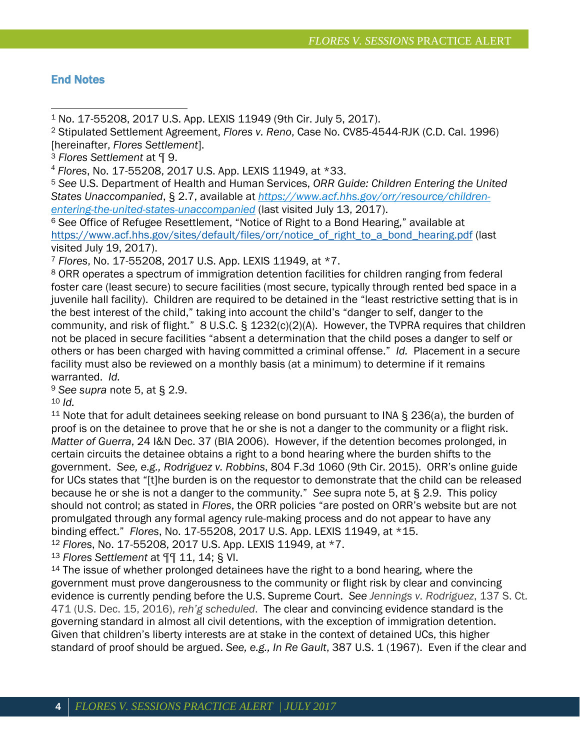### **End Notes**

<span id="page-3-0"></span><sup>1</sup> No. 17-55208, 2017 U.S. App. LEXIS 11949 (9th Cir. July 5, 2017).  $\overline{a}$ 

<span id="page-3-1"></span><sup>2</sup> Stipulated Settlement Agreement, *Flores v. Reno*, Case No. CV85-4544-RJK (C.D. Cal. 1996) [hereinafter, *Flores Settlement*].

<span id="page-3-4"></span><sup>5</sup> *See* U.S. Department of Health and Human Services, *ORR Guide: Children Entering the United States Unaccompanied*, § 2.7, available at *[https://www.acf.hhs.gov/orr/resource/children](https://www.acf.hhs.gov/orr/resource/children-entering-the-united-states-unaccompanied)[entering-the-united-states-unaccompanied](https://www.acf.hhs.gov/orr/resource/children-entering-the-united-states-unaccompanied)* (last visited July 13, 2017).

<span id="page-3-5"></span><sup>6</sup> See Office of Refugee Resettlement, "Notice of Right to a Bond Hearing," available at [https://www.acf.hhs.gov/sites/default/files/orr/notice\\_of\\_right\\_to\\_a\\_bond\\_hearing.pdf](https://www.acf.hhs.gov/sites/default/files/orr/notice_of_right_to_a_bond_hearing.pdf) (last

visited July 19, 2017). 7 *Flores*, No. 17-55208, 2017 U.S. App. LEXIS 11949, at \*7.

<sup>8</sup> ORR operates a spectrum of immigration detention facilities for children ranging from federal foster care (least secure) to secure facilities (most secure, typically through rented bed space in a juvenile hall facility). Children are required to be detained in the "least restrictive setting that is in the best interest of the child," taking into account the child's "danger to self, danger to the community, and risk of flight." 8 U.S.C. § 1232(c)(2)(A). However, the TVPRA requires that children not be placed in secure facilities "absent a determination that the child poses a danger to self or others or has been charged with having committed a criminal offense." *Id.* Placement in a secure facility must also be reviewed on a monthly basis (at a minimum) to determine if it remains warranted. *Id.*

<sup>9</sup> *See supra* note 5, at § 2.9.

<sup>10</sup> *Id.*

<sup>11</sup> Note that for adult detainees seeking release on bond pursuant to INA § 236(a), the burden of proof is on the detainee to prove that he or she is not a danger to the community or a flight risk. *Matter of Guerra*, 24 I&N Dec. 37 (BIA 2006). However, if the detention becomes prolonged, in certain circuits the detainee obtains a right to a bond hearing where the burden shifts to the government. *See, e.g., Rodriguez v. Robbins*, 804 F.3d 1060 (9th Cir. 2015). ORR's online guide for UCs states that "[t]he burden is on the requestor to demonstrate that the child can be released because he or she is not a danger to the community." *See* supra note 5, at § 2.9. This policy should not control; as stated in *Flores*, the ORR policies "are posted on ORR's website but are not promulgated through any formal agency rule-making process and do not appear to have any binding effect." *Flores*, No. 17-55208, 2017 U.S. App. LEXIS 11949, at \*15.

<sup>12</sup> *Flores*, No. 17-55208, 2017 U.S. App. LEXIS 11949, at \*7.

<sup>13</sup> *Flores Settlement* at ¶¶ 11, 14; § VI.

<sup>14</sup> The issue of whether prolonged detainees have the right to a bond hearing, where the government must prove dangerousness to the community or flight risk by clear and convincing evidence is currently pending before the U.S. Supreme Court. *See Jennings v. Rodriguez*, 137 S. Ct. 471 (U.S. Dec. 15, 2016), *reh'g scheduled*. The clear and convincing evidence standard is the governing standard in almost all civil detentions, with the exception of immigration detention. Given that children's liberty interests are at stake in the context of detained UCs, this higher standard of proof should be argued. *See, e.g., In Re Gault*, 387 U.S. 1 (1967). Even if the clear and

<span id="page-3-2"></span><sup>3</sup> *Flores Settlement* at ¶ 9.

<span id="page-3-3"></span><sup>4</sup> *Flores*, No. 17-55208, 2017 U.S. App. LEXIS 11949, at \*33.